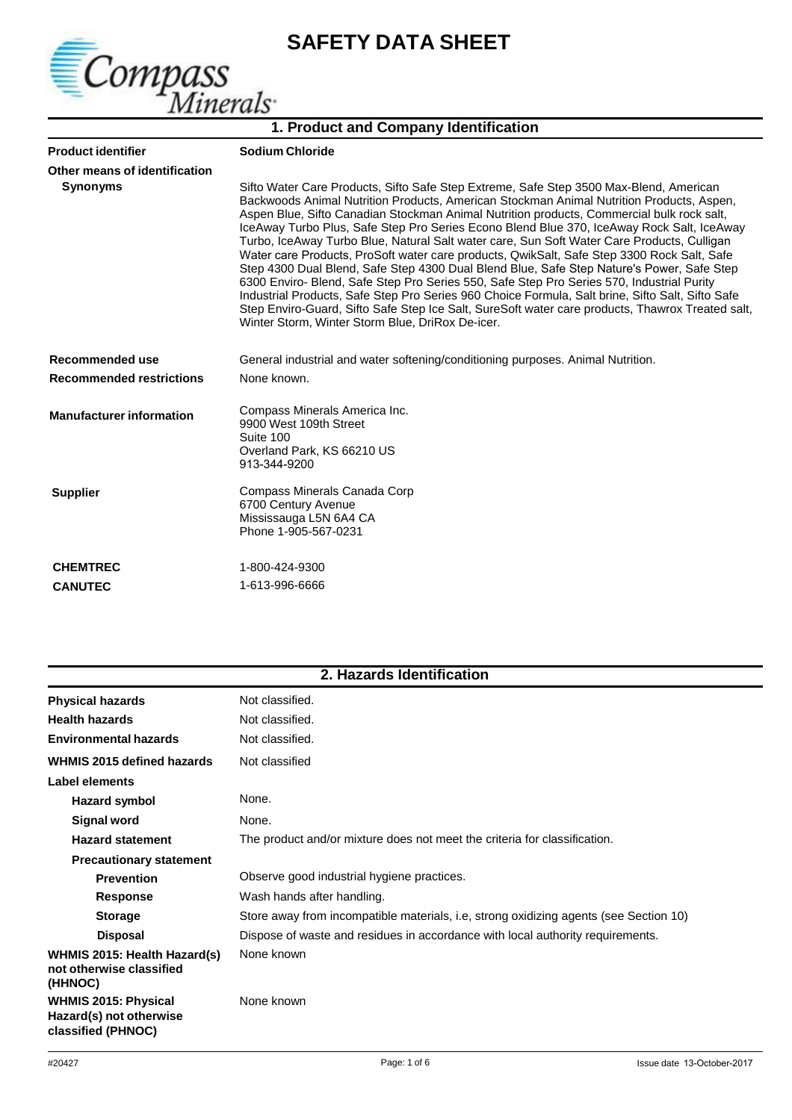

# **SAFETY DATA SHEET**

| 1. Product and Company Identification |                                                                                                                                                                                                                                                                                                                                                                                                                                                                                                                                                                                                                                                                                                                                                                                                                                                                                                                                                                                                                                |  |
|---------------------------------------|--------------------------------------------------------------------------------------------------------------------------------------------------------------------------------------------------------------------------------------------------------------------------------------------------------------------------------------------------------------------------------------------------------------------------------------------------------------------------------------------------------------------------------------------------------------------------------------------------------------------------------------------------------------------------------------------------------------------------------------------------------------------------------------------------------------------------------------------------------------------------------------------------------------------------------------------------------------------------------------------------------------------------------|--|
| <b>Product identifier</b>             | <b>Sodium Chloride</b>                                                                                                                                                                                                                                                                                                                                                                                                                                                                                                                                                                                                                                                                                                                                                                                                                                                                                                                                                                                                         |  |
| Other means of identification         |                                                                                                                                                                                                                                                                                                                                                                                                                                                                                                                                                                                                                                                                                                                                                                                                                                                                                                                                                                                                                                |  |
| <b>Synonyms</b>                       | Sifto Water Care Products, Sifto Safe Step Extreme, Safe Step 3500 Max-Blend, American<br>Backwoods Animal Nutrition Products, American Stockman Animal Nutrition Products, Aspen,<br>Aspen Blue, Sifto Canadian Stockman Animal Nutrition products, Commercial bulk rock salt,<br>IceAway Turbo Plus, Safe Step Pro Series Econo Blend Blue 370, IceAway Rock Salt, IceAway<br>Turbo, IceAway Turbo Blue, Natural Salt water care, Sun Soft Water Care Products, Culligan<br>Water care Products, ProSoft water care products, QwikSalt, Safe Step 3300 Rock Salt, Safe<br>Step 4300 Dual Blend, Safe Step 4300 Dual Blend Blue, Safe Step Nature's Power, Safe Step<br>6300 Enviro- Blend, Safe Step Pro Series 550, Safe Step Pro Series 570, Industrial Purity<br>Industrial Products, Safe Step Pro Series 960 Choice Formula, Salt brine, Sifto Salt, Sifto Safe<br>Step Enviro-Guard, Sifto Safe Step Ice Salt, SureSoft water care products, Thawrox Treated salt,<br>Winter Storm, Winter Storm Blue, DriRox De-icer. |  |
| Recommended use                       | General industrial and water softening/conditioning purposes. Animal Nutrition.                                                                                                                                                                                                                                                                                                                                                                                                                                                                                                                                                                                                                                                                                                                                                                                                                                                                                                                                                |  |
| <b>Recommended restrictions</b>       | None known.                                                                                                                                                                                                                                                                                                                                                                                                                                                                                                                                                                                                                                                                                                                                                                                                                                                                                                                                                                                                                    |  |
| <b>Manufacturer information</b>       | Compass Minerals America Inc.<br>9900 West 109th Street<br>Suite 100<br>Overland Park, KS 66210 US<br>913-344-9200                                                                                                                                                                                                                                                                                                                                                                                                                                                                                                                                                                                                                                                                                                                                                                                                                                                                                                             |  |
| <b>Supplier</b>                       | Compass Minerals Canada Corp<br>6700 Century Avenue<br>Mississauga L5N 6A4 CA<br>Phone 1-905-567-0231                                                                                                                                                                                                                                                                                                                                                                                                                                                                                                                                                                                                                                                                                                                                                                                                                                                                                                                          |  |
| <b>CHEMTREC</b>                       | 1-800-424-9300                                                                                                                                                                                                                                                                                                                                                                                                                                                                                                                                                                                                                                                                                                                                                                                                                                                                                                                                                                                                                 |  |

| <b>UMEMIREU</b> | 1-000-424-9300 |
|-----------------|----------------|
| <b>CANUTEC</b>  | 1-613-996-6666 |

| 2. Hazards Identification |  |
|---------------------------|--|
|---------------------------|--|

| <b>Physical hazards</b>                                                      | Not classified.                                                                       |
|------------------------------------------------------------------------------|---------------------------------------------------------------------------------------|
| <b>Health hazards</b>                                                        | Not classified.                                                                       |
| <b>Environmental hazards</b>                                                 | Not classified.                                                                       |
| <b>WHMIS 2015 defined hazards</b>                                            | Not classified                                                                        |
| Label elements                                                               |                                                                                       |
| Hazard symbol                                                                | None.                                                                                 |
| Signal word                                                                  | None.                                                                                 |
| <b>Hazard statement</b>                                                      | The product and/or mixture does not meet the criteria for classification.             |
| <b>Precautionary statement</b>                                               |                                                                                       |
| <b>Prevention</b>                                                            | Observe good industrial hygiene practices.                                            |
| <b>Response</b>                                                              | Wash hands after handling.                                                            |
| <b>Storage</b>                                                               | Store away from incompatible materials, i.e, strong oxidizing agents (see Section 10) |
| <b>Disposal</b>                                                              | Dispose of waste and residues in accordance with local authority requirements.        |
| <b>WHMIS 2015: Health Hazard(s)</b><br>not otherwise classified<br>(HHNOC)   | None known                                                                            |
| <b>WHMIS 2015: Physical</b><br>Hazard(s) not otherwise<br>classified (PHNOC) | None known                                                                            |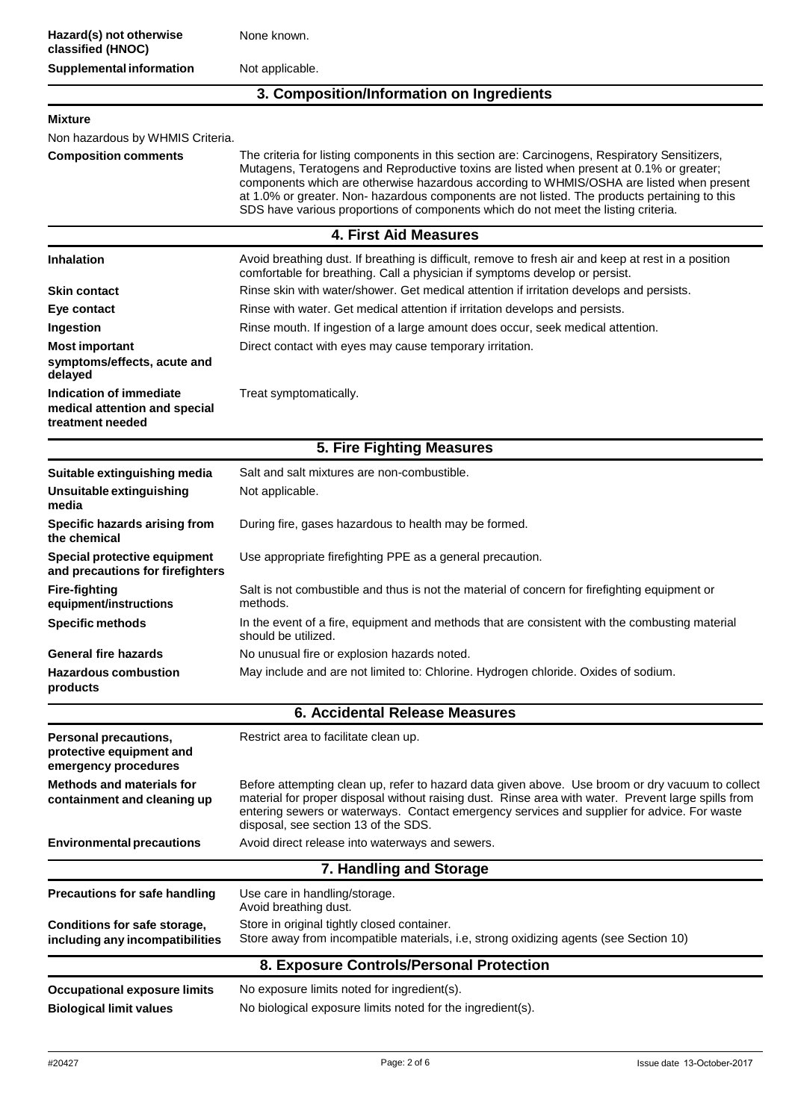None known.

Not applicable.

#### **3. Composition/Information on Ingredients**

#### **Mixture**

Non hazardous by WHMIS Criteria.

**Composition comments** The criteria for listing components in this section are: Carcinogens, Respiratory Sensitizers, Mutagens, Teratogens and Reproductive toxins are listed when present at 0.1% or greater; components which are otherwise hazardous according to WHMIS/OSHA are listed when present at 1.0% or greater. Non- hazardous components are not listed. The products pertaining to this SDS have various proportions of components which do not meet the listing criteria.

| <b>4. First Aid Measures</b>                                                        |                                                                                                                                                                                                                                                                                                                                                |  |
|-------------------------------------------------------------------------------------|------------------------------------------------------------------------------------------------------------------------------------------------------------------------------------------------------------------------------------------------------------------------------------------------------------------------------------------------|--|
| <b>Inhalation</b>                                                                   | Avoid breathing dust. If breathing is difficult, remove to fresh air and keep at rest in a position<br>comfortable for breathing. Call a physician if symptoms develop or persist.                                                                                                                                                             |  |
| <b>Skin contact</b>                                                                 | Rinse skin with water/shower. Get medical attention if irritation develops and persists.                                                                                                                                                                                                                                                       |  |
| Eye contact                                                                         | Rinse with water. Get medical attention if irritation develops and persists.                                                                                                                                                                                                                                                                   |  |
| Ingestion                                                                           | Rinse mouth. If ingestion of a large amount does occur, seek medical attention.                                                                                                                                                                                                                                                                |  |
| <b>Most important</b>                                                               | Direct contact with eyes may cause temporary irritation.                                                                                                                                                                                                                                                                                       |  |
| symptoms/effects, acute and<br>delayed                                              |                                                                                                                                                                                                                                                                                                                                                |  |
| <b>Indication of immediate</b><br>medical attention and special<br>treatment needed | Treat symptomatically.                                                                                                                                                                                                                                                                                                                         |  |
|                                                                                     | 5. Fire Fighting Measures                                                                                                                                                                                                                                                                                                                      |  |
| Suitable extinguishing media                                                        | Salt and salt mixtures are non-combustible.                                                                                                                                                                                                                                                                                                    |  |
| Unsuitable extinguishing<br>media                                                   | Not applicable.                                                                                                                                                                                                                                                                                                                                |  |
| Specific hazards arising from<br>the chemical                                       | During fire, gases hazardous to health may be formed.                                                                                                                                                                                                                                                                                          |  |
| Special protective equipment<br>and precautions for firefighters                    | Use appropriate firefighting PPE as a general precaution.                                                                                                                                                                                                                                                                                      |  |
| <b>Fire-fighting</b><br>equipment/instructions                                      | Salt is not combustible and thus is not the material of concern for firefighting equipment or<br>methods.                                                                                                                                                                                                                                      |  |
| <b>Specific methods</b>                                                             | In the event of a fire, equipment and methods that are consistent with the combusting material<br>should be utilized.                                                                                                                                                                                                                          |  |
| <b>General fire hazards</b>                                                         | No unusual fire or explosion hazards noted.                                                                                                                                                                                                                                                                                                    |  |
| <b>Hazardous combustion</b><br>products                                             | May include and are not limited to: Chlorine. Hydrogen chloride. Oxides of sodium.                                                                                                                                                                                                                                                             |  |
|                                                                                     | <b>6. Accidental Release Measures</b>                                                                                                                                                                                                                                                                                                          |  |
| Personal precautions,<br>protective equipment and<br>emergency procedures           | Restrict area to facilitate clean up.                                                                                                                                                                                                                                                                                                          |  |
| <b>Methods and materials for</b><br>containment and cleaning up                     | Before attempting clean up, refer to hazard data given above. Use broom or dry vacuum to collect<br>material for proper disposal without raising dust. Rinse area with water. Prevent large spills from<br>entering sewers or waterways. Contact emergency services and supplier for advice. For waste<br>disposal, see section 13 of the SDS. |  |
| <b>Environmental precautions</b>                                                    | Avoid direct release into waterways and sewers.                                                                                                                                                                                                                                                                                                |  |
|                                                                                     | 7. Handling and Storage                                                                                                                                                                                                                                                                                                                        |  |
| <b>Precautions for safe handling</b>                                                | Use care in handling/storage.<br>Avoid breathing dust.                                                                                                                                                                                                                                                                                         |  |
| Conditions for safe storage,<br>including any incompatibilities                     | Store in original tightly closed container.<br>Store away from incompatible materials, i.e, strong oxidizing agents (see Section 10)                                                                                                                                                                                                           |  |
|                                                                                     | 8. Exposure Controls/Personal Protection                                                                                                                                                                                                                                                                                                       |  |
| <b>Occupational exposure limits</b>                                                 | No exposure limits noted for ingredient(s).                                                                                                                                                                                                                                                                                                    |  |
| <b>Biological limit values</b>                                                      | No biological exposure limits noted for the ingredient(s).                                                                                                                                                                                                                                                                                     |  |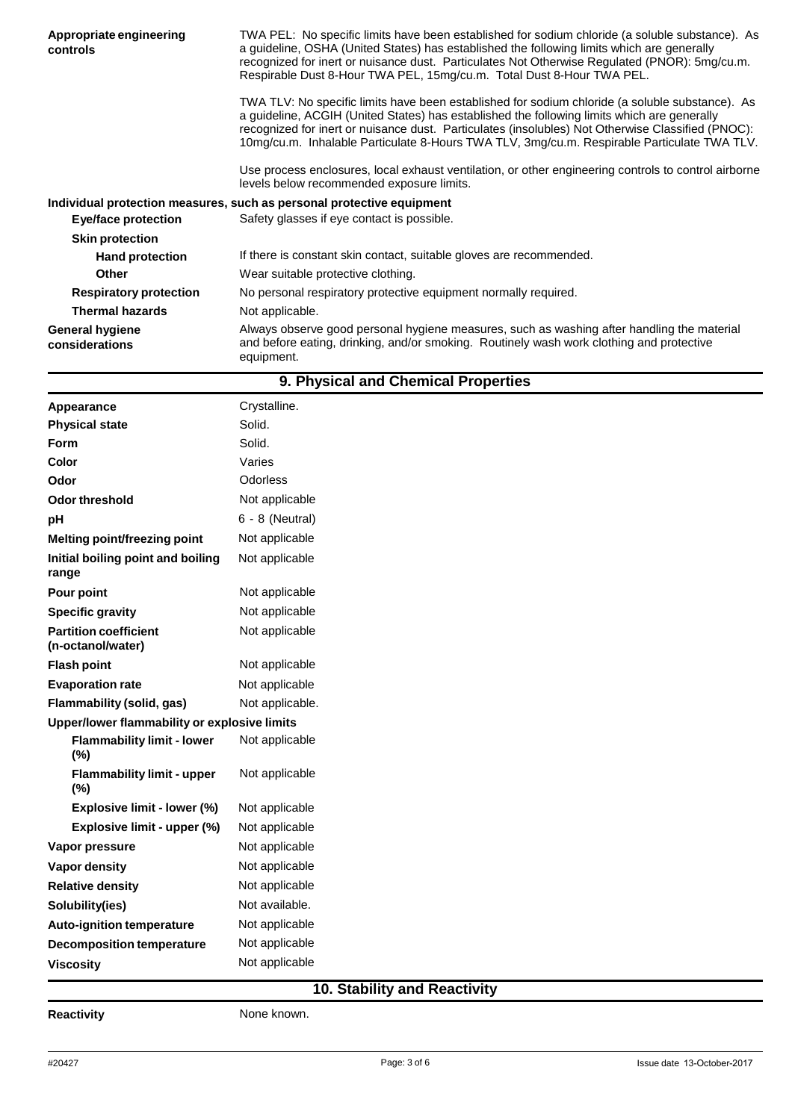| Appropriate engineering<br>controls      | TWA PEL: No specific limits have been established for sodium chloride (a soluble substance). As<br>a guideline, OSHA (United States) has established the following limits which are generally<br>recognized for inert or nuisance dust. Particulates Not Otherwise Regulated (PNOR): 5mg/cu.m.<br>Respirable Dust 8-Hour TWA PEL, 15mg/cu.m. Total Dust 8-Hour TWA PEL.                            |  |
|------------------------------------------|----------------------------------------------------------------------------------------------------------------------------------------------------------------------------------------------------------------------------------------------------------------------------------------------------------------------------------------------------------------------------------------------------|--|
|                                          | TWA TLV: No specific limits have been established for sodium chloride (a soluble substance). As<br>a guideline, ACGIH (United States) has established the following limits which are generally<br>recognized for inert or nuisance dust. Particulates (insolubles) Not Otherwise Classified (PNOC):<br>10mg/cu.m. Inhalable Particulate 8-Hours TWA TLV, 3mg/cu.m. Respirable Particulate TWA TLV. |  |
|                                          | Use process enclosures, local exhaust ventilation, or other engineering controls to control airborne<br>levels below recommended exposure limits.                                                                                                                                                                                                                                                  |  |
|                                          | Individual protection measures, such as personal protective equipment                                                                                                                                                                                                                                                                                                                              |  |
| <b>Eye/face protection</b>               | Safety glasses if eye contact is possible.                                                                                                                                                                                                                                                                                                                                                         |  |
| <b>Skin protection</b>                   |                                                                                                                                                                                                                                                                                                                                                                                                    |  |
| <b>Hand protection</b>                   | If there is constant skin contact, suitable gloves are recommended.                                                                                                                                                                                                                                                                                                                                |  |
| <b>Other</b>                             | Wear suitable protective clothing.                                                                                                                                                                                                                                                                                                                                                                 |  |
| <b>Respiratory protection</b>            | No personal respiratory protective equipment normally required.                                                                                                                                                                                                                                                                                                                                    |  |
| <b>Thermal hazards</b>                   | Not applicable.                                                                                                                                                                                                                                                                                                                                                                                    |  |
| <b>General hygiene</b><br>considerations | Always observe good personal hygiene measures, such as washing after handling the material<br>and before eating, drinking, and/or smoking. Routinely wash work clothing and protective<br>equipment.                                                                                                                                                                                               |  |

| 9. Physical and Chemical Properties               |                   |  |
|---------------------------------------------------|-------------------|--|
| Appearance                                        | Crystalline.      |  |
| <b>Physical state</b>                             | Solid.            |  |
| Form                                              | Solid.            |  |
| Color                                             | Varies            |  |
| Odor                                              | Odorless          |  |
| Odor threshold                                    | Not applicable    |  |
| pH                                                | $6 - 8$ (Neutral) |  |
| Melting point/freezing point                      | Not applicable    |  |
| Initial boiling point and boiling<br>range        | Not applicable    |  |
| Pour point                                        | Not applicable    |  |
| <b>Specific gravity</b>                           | Not applicable    |  |
| <b>Partition coefficient</b><br>(n-octanol/water) | Not applicable    |  |
| <b>Flash point</b>                                | Not applicable    |  |
| <b>Evaporation rate</b>                           | Not applicable    |  |
| Flammability (solid, gas)                         | Not applicable.   |  |
| Upper/lower flammability or explosive limits      |                   |  |
| <b>Flammability limit - lower</b><br>(%)          | Not applicable    |  |
| <b>Flammability limit - upper</b><br>(%)          | Not applicable    |  |
| Explosive limit - lower (%)                       | Not applicable    |  |
| Explosive limit - upper (%)                       | Not applicable    |  |
| Vapor pressure                                    | Not applicable    |  |
| Vapor density                                     | Not applicable    |  |
| <b>Relative density</b>                           | Not applicable    |  |
| Solubility(ies)                                   | Not available.    |  |
| <b>Auto-ignition temperature</b>                  | Not applicable    |  |
| <b>Decomposition temperature</b>                  | Not applicable    |  |
| <b>Viscosity</b>                                  | Not applicable    |  |

## **10. Stability and Reactivity**

**Reactivity None known.**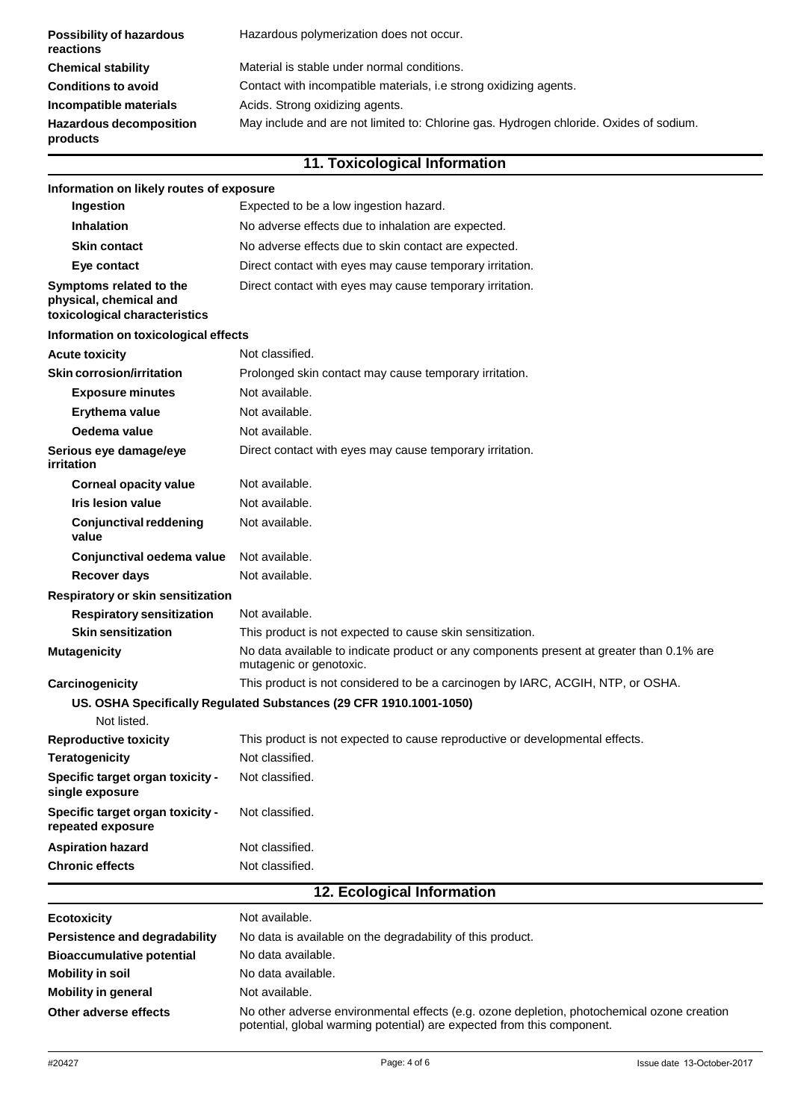| <b>Possibility of hazardous</b><br>reactions                                                                                         | Hazardous polymerization does not occur.                          |
|--------------------------------------------------------------------------------------------------------------------------------------|-------------------------------------------------------------------|
| <b>Chemical stability</b>                                                                                                            | Material is stable under normal conditions.                       |
| <b>Conditions to avoid</b>                                                                                                           | Contact with incompatible materials, i.e strong oxidizing agents. |
| Incompatible materials                                                                                                               | Acids. Strong oxidizing agents.                                   |
| May include and are not limited to: Chlorine gas. Hydrogen chloride. Oxides of sodium.<br><b>Hazardous decomposition</b><br>products |                                                                   |

| 11. Toxicological Information                                                      |                                                                                                                     |  |
|------------------------------------------------------------------------------------|---------------------------------------------------------------------------------------------------------------------|--|
| Information on likely routes of exposure                                           |                                                                                                                     |  |
| Ingestion                                                                          | Expected to be a low ingestion hazard.                                                                              |  |
| <b>Inhalation</b>                                                                  | No adverse effects due to inhalation are expected.                                                                  |  |
| <b>Skin contact</b>                                                                | No adverse effects due to skin contact are expected.                                                                |  |
| Eye contact                                                                        | Direct contact with eyes may cause temporary irritation.                                                            |  |
| Symptoms related to the<br>physical, chemical and<br>toxicological characteristics | Direct contact with eyes may cause temporary irritation.                                                            |  |
| Information on toxicological effects                                               |                                                                                                                     |  |
| <b>Acute toxicity</b>                                                              | Not classified.                                                                                                     |  |
| <b>Skin corrosion/irritation</b>                                                   | Prolonged skin contact may cause temporary irritation.                                                              |  |
| <b>Exposure minutes</b>                                                            | Not available.                                                                                                      |  |
| Erythema value                                                                     | Not available.                                                                                                      |  |
| Oedema value                                                                       | Not available.                                                                                                      |  |
| Serious eye damage/eye<br>irritation                                               | Direct contact with eyes may cause temporary irritation.                                                            |  |
| <b>Corneal opacity value</b>                                                       | Not available.                                                                                                      |  |
| Iris lesion value                                                                  | Not available.                                                                                                      |  |
| <b>Conjunctival reddening</b><br>value                                             | Not available.                                                                                                      |  |
| Conjunctival oedema value                                                          | Not available.                                                                                                      |  |
| <b>Recover days</b>                                                                | Not available.                                                                                                      |  |
| Respiratory or skin sensitization                                                  |                                                                                                                     |  |
| <b>Respiratory sensitization</b>                                                   | Not available.                                                                                                      |  |
| <b>Skin sensitization</b>                                                          | This product is not expected to cause skin sensitization.                                                           |  |
| <b>Mutagenicity</b>                                                                | No data available to indicate product or any components present at greater than 0.1% are<br>mutagenic or genotoxic. |  |
| Carcinogenicity                                                                    | This product is not considered to be a carcinogen by IARC, ACGIH, NTP, or OSHA.                                     |  |
| Not listed.                                                                        | US. OSHA Specifically Regulated Substances (29 CFR 1910.1001-1050)                                                  |  |
| <b>Reproductive toxicity</b>                                                       | This product is not expected to cause reproductive or developmental effects.                                        |  |
| <b>Teratogenicity</b>                                                              | Not classified.                                                                                                     |  |
| Specific target organ toxicity -<br>single exposure                                | Not classified.                                                                                                     |  |
| Specific target organ toxicity -<br>repeated exposure                              | Not classified.                                                                                                     |  |
| <b>Aspiration hazard</b>                                                           | Not classified.                                                                                                     |  |
| <b>Chronic effects</b>                                                             | Not classified.                                                                                                     |  |
| 12. Ecological Information                                                         |                                                                                                                     |  |

| <b>Ecotoxicity</b>               | Not available.                                                                                                                                                       |
|----------------------------------|----------------------------------------------------------------------------------------------------------------------------------------------------------------------|
| Persistence and degradability    | No data is available on the degradability of this product.                                                                                                           |
| <b>Bioaccumulative potential</b> | No data available.                                                                                                                                                   |
| <b>Mobility in soil</b>          | No data available.                                                                                                                                                   |
| <b>Mobility in general</b>       | Not available.                                                                                                                                                       |
| Other adverse effects            | No other adverse environmental effects (e.g. ozone depletion, photochemical ozone creation<br>potential, global warming potential) are expected from this component. |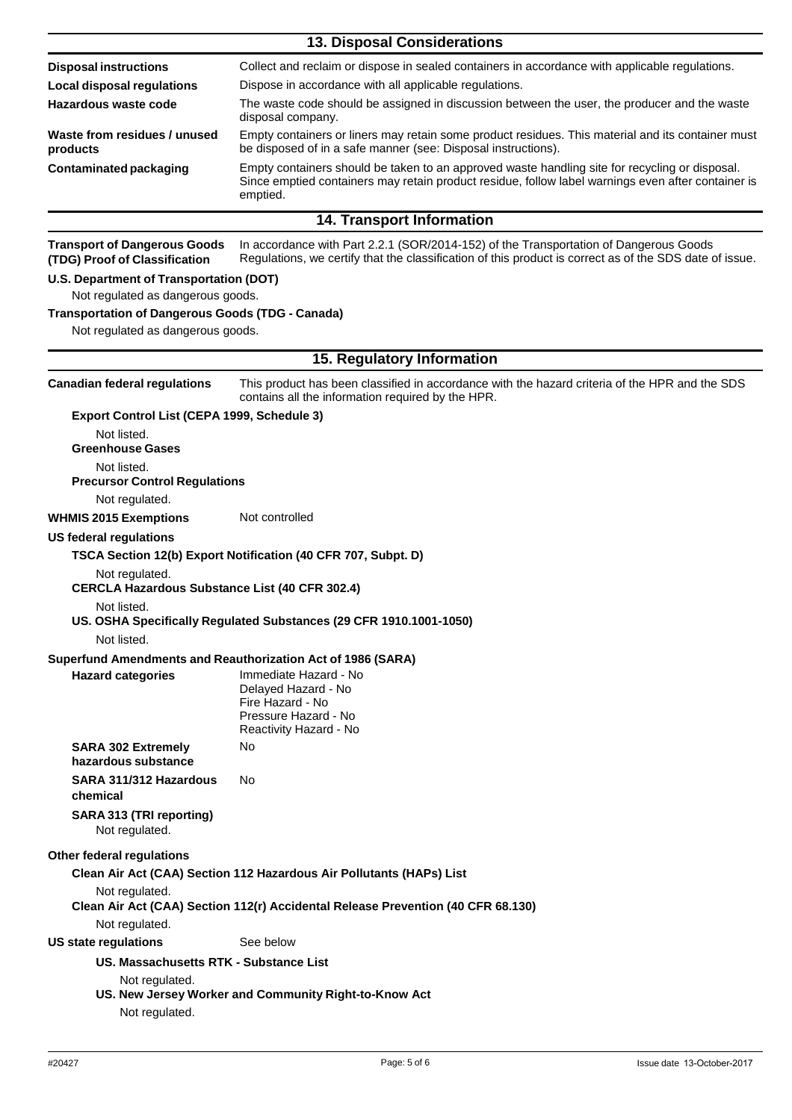| <b>13. Disposal Considerations</b>                                                                                                                                                                                                                |                                                                                                                                                                                                  |  |  |
|---------------------------------------------------------------------------------------------------------------------------------------------------------------------------------------------------------------------------------------------------|--------------------------------------------------------------------------------------------------------------------------------------------------------------------------------------------------|--|--|
| <b>Disposal instructions</b>                                                                                                                                                                                                                      | Collect and reclaim or dispose in sealed containers in accordance with applicable regulations.                                                                                                   |  |  |
| <b>Local disposal regulations</b>                                                                                                                                                                                                                 | Dispose in accordance with all applicable regulations.                                                                                                                                           |  |  |
| Hazardous waste code                                                                                                                                                                                                                              | The waste code should be assigned in discussion between the user, the producer and the waste<br>disposal company.                                                                                |  |  |
| Waste from residues / unused<br>products                                                                                                                                                                                                          | Empty containers or liners may retain some product residues. This material and its container must<br>be disposed of in a safe manner (see: Disposal instructions).                               |  |  |
| Empty containers should be taken to an approved waste handling site for recycling or disposal.<br><b>Contaminated packaging</b><br>Since emptied containers may retain product residue, follow label warnings even after container is<br>emptied. |                                                                                                                                                                                                  |  |  |
|                                                                                                                                                                                                                                                   | <b>14. Transport Information</b>                                                                                                                                                                 |  |  |
| <b>Transport of Dangerous Goods</b><br>(TDG) Proof of Classification                                                                                                                                                                              | In accordance with Part 2.2.1 (SOR/2014-152) of the Transportation of Dangerous Goods<br>Regulations, we certify that the classification of this product is correct as of the SDS date of issue. |  |  |
| U.S. Department of Transportation (DOT)                                                                                                                                                                                                           |                                                                                                                                                                                                  |  |  |
| Not regulated as dangerous goods.                                                                                                                                                                                                                 |                                                                                                                                                                                                  |  |  |
| <b>Transportation of Dangerous Goods (TDG - Canada)</b><br>Not regulated as dangerous goods.                                                                                                                                                      |                                                                                                                                                                                                  |  |  |
|                                                                                                                                                                                                                                                   | 15. Regulatory Information                                                                                                                                                                       |  |  |
| <b>Canadian federal regulations</b>                                                                                                                                                                                                               | This product has been classified in accordance with the hazard criteria of the HPR and the SDS<br>contains all the information required by the HPR.                                              |  |  |
| Export Control List (CEPA 1999, Schedule 3)                                                                                                                                                                                                       |                                                                                                                                                                                                  |  |  |
| Not listed.<br><b>Greenhouse Gases</b>                                                                                                                                                                                                            |                                                                                                                                                                                                  |  |  |
| Not listed.<br><b>Precursor Control Regulations</b>                                                                                                                                                                                               |                                                                                                                                                                                                  |  |  |
| Not regulated.<br><b>WHMIS 2015 Exemptions</b>                                                                                                                                                                                                    | Not controlled                                                                                                                                                                                   |  |  |
| US federal regulations                                                                                                                                                                                                                            |                                                                                                                                                                                                  |  |  |
|                                                                                                                                                                                                                                                   | TSCA Section 12(b) Export Notification (40 CFR 707, Subpt. D)                                                                                                                                    |  |  |
| Not regulated.                                                                                                                                                                                                                                    |                                                                                                                                                                                                  |  |  |
| <b>CERCLA Hazardous Substance List (40 CFR 302.4)</b>                                                                                                                                                                                             |                                                                                                                                                                                                  |  |  |
| Not listed.                                                                                                                                                                                                                                       | US. OSHA Specifically Regulated Substances (29 CFR 1910.1001-1050)                                                                                                                               |  |  |
| Not listed.<br>Superfund Amendments and Reauthorization Act of 1986 (SARA)                                                                                                                                                                        |                                                                                                                                                                                                  |  |  |
| <b>Hazard categories</b>                                                                                                                                                                                                                          | Immediate Hazard - No<br>Delayed Hazard - No<br>Fire Hazard - No<br>Pressure Hazard - No<br>Reactivity Hazard - No                                                                               |  |  |
| <b>SARA 302 Extremely</b><br>hazardous substance                                                                                                                                                                                                  | No                                                                                                                                                                                               |  |  |
| SARA 311/312 Hazardous<br>chemical                                                                                                                                                                                                                | No                                                                                                                                                                                               |  |  |
| SARA 313 (TRI reporting)<br>Not regulated.                                                                                                                                                                                                        |                                                                                                                                                                                                  |  |  |
| Other federal regulations                                                                                                                                                                                                                         |                                                                                                                                                                                                  |  |  |
|                                                                                                                                                                                                                                                   | Clean Air Act (CAA) Section 112 Hazardous Air Pollutants (HAPs) List                                                                                                                             |  |  |
| Not regulated.                                                                                                                                                                                                                                    | Clean Air Act (CAA) Section 112(r) Accidental Release Prevention (40 CFR 68.130)                                                                                                                 |  |  |
| Not regulated.                                                                                                                                                                                                                                    |                                                                                                                                                                                                  |  |  |
| <b>US state regulations</b>                                                                                                                                                                                                                       | See below                                                                                                                                                                                        |  |  |
| US. Massachusetts RTK - Substance List<br>Not regulated.                                                                                                                                                                                          |                                                                                                                                                                                                  |  |  |
| Not regulated.                                                                                                                                                                                                                                    | US. New Jersey Worker and Community Right-to-Know Act                                                                                                                                            |  |  |